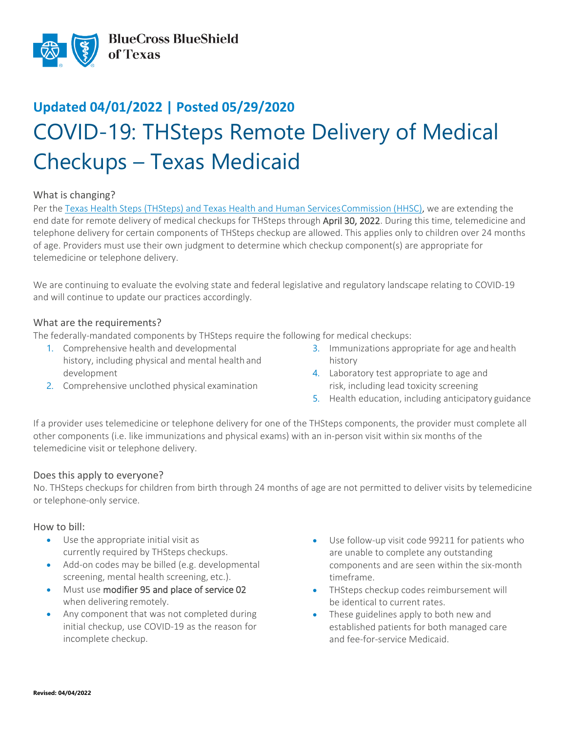

# **Updated 04/01/2022 | Posted 05/29/2020** COVID-19: THSteps Remote Delivery of Medical Checkups – Texas Medicaid

## What is changing?

Per the Texas Health Steps (THSteps) and Texas Health and Human Services Commission (HHSC), we are extending the end date for remote delivery of medical checkups for THSteps through April 30, 2022. During this time, telemedicine and telephone delivery for certain components of THSteps checkup are allowed. This applies only to children over 24 months of age. Providers must use their own judgment to determine which checkup component(s) are appropriate for telemedicine or telephone delivery.

We are continuing to evaluate the evolving state and federal legislative and regulatory landscape relating to COVID-19 and will continue to update our practices accordingly.

#### What are the requirements?

The federally-mandated components by THSteps require the following for medical checkups:

- 1. Comprehensive health and developmental history, including physical and mental health and development
- 2. Comprehensive unclothed physical examination
- 3. Immunizations appropriate for age and health history
- 4. Laboratory test appropriate to age and risk, including lead toxicity screening
- 5. Health education, including anticipatory guidance

If a provider uses telemedicine or telephone delivery for one of the THSteps components, the provider must complete all other components (i.e. like immunizations and physical exams) with an in-person visit within six months of the telemedicine visit or telephone delivery.

## Does this apply to everyone?

No. THSteps checkups for children from birth through 24 months of age are not permitted to deliver visits by telemedicine or telephone-only service.

#### How to bill:

- Use the appropriate initial visit as currently required by THSteps checkups.
- Add-on codes may be billed (e.g. developmental screening, mental health screening, etc.).
- Must use modifier 95 and place of service 02 when delivering remotely.
- Any component that was not completed during initial checkup, use COVID-19 as the reason for incomplete checkup.
- Use follow-up visit code 99211 for patients who are unable to complete any outstanding components and are seen within the six-month timeframe.
- THSteps checkup codes reimbursement will be identical to current rates.
- These guidelines apply to both new and established patients for both managed care and fee-for-service Medicaid.